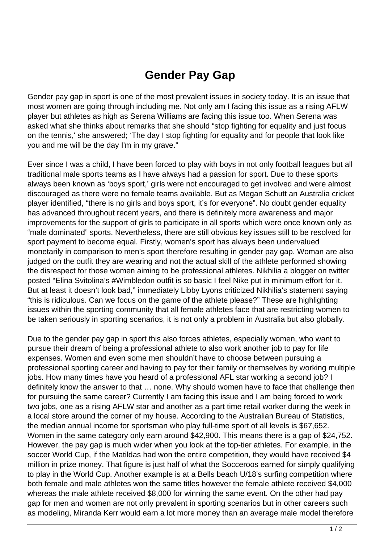## **Gender Pay Gap**

Gender pay gap in sport is one of the most prevalent issues in society today. It is an issue that most women are going through including me. Not only am I facing this issue as a rising AFLW player but athletes as high as Serena Williams are facing this issue too. When Serena was asked what she thinks about remarks that she should "stop fighting for equality and just focus on the tennis,' she answered; 'The day I stop fighting for equality and for people that look like you and me will be the day I'm in my grave."

Ever since I was a child, I have been forced to play with boys in not only football leagues but all traditional male sports teams as I have always had a passion for sport. Due to these sports always been known as 'boys sport,' girls were not encouraged to get involved and were almost discouraged as there were no female teams available. But as Megan Schutt an Australia cricket player identified, "there is no girls and boys sport, it's for everyone". No doubt gender equality has advanced throughout recent years, and there is definitely more awareness and major improvements for the support of girls to participate in all sports which were once known only as "male dominated" sports. Nevertheless, there are still obvious key issues still to be resolved for sport payment to become equal. Firstly, women's sport has always been undervalued monetarily in comparison to men's sport therefore resulting in gender pay gap. Woman are also judged on the outfit they are wearing and not the actual skill of the athlete performed showing the disrespect for those women aiming to be professional athletes. Nikhilia a blogger on twitter posted "Elina Svitolina's #Wimbledon outfit is so basic I feel Nike put in minimum effort for it. But at least it doesn't look bad," immediately Libby Lyons criticized Nikhilia's statement saying "this is ridiculous. Can we focus on the game of the athlete please?" These are highlighting issues within the sporting community that all female athletes face that are restricting women to be taken seriously in sporting scenarios, it is not only a problem in Australia but also globally.

Due to the gender pay gap in sport this also forces athletes, especially women, who want to pursue their dream of being a professional athlete to also work another job to pay for life expenses. Women and even some men shouldn't have to choose between pursuing a professional sporting career and having to pay for their family or themselves by working multiple jobs. How many times have you heard of a professional AFL star working a second job? I definitely know the answer to that … none. Why should women have to face that challenge then for pursuing the same career? Currently I am facing this issue and I am being forced to work two jobs, one as a rising AFLW star and another as a part time retail worker during the week in a local store around the corner of my house. According to the Australian Bureau of Statistics, the median annual income for sportsman who play full-time sport of all levels is \$67,652. Women in the same category only earn around \$42,900. This means there is a gap of \$24,752. However, the pay gap is much wider when you look at the top-tier athletes. For example, in the soccer World Cup, if the Matildas had won the entire competition, they would have received \$4 million in prize money. That figure is just half of what the Socceroos earned for simply qualifying to play in the World Cup. Another example is at a Bells beach U/18's surfing competition where both female and male athletes won the same titles however the female athlete received \$4,000 whereas the male athlete received \$8,000 for winning the same event. On the other had pay gap for men and women are not only prevalent in sporting scenarios but in other careers such as modeling, Miranda Kerr would earn a lot more money than an average male model therefore